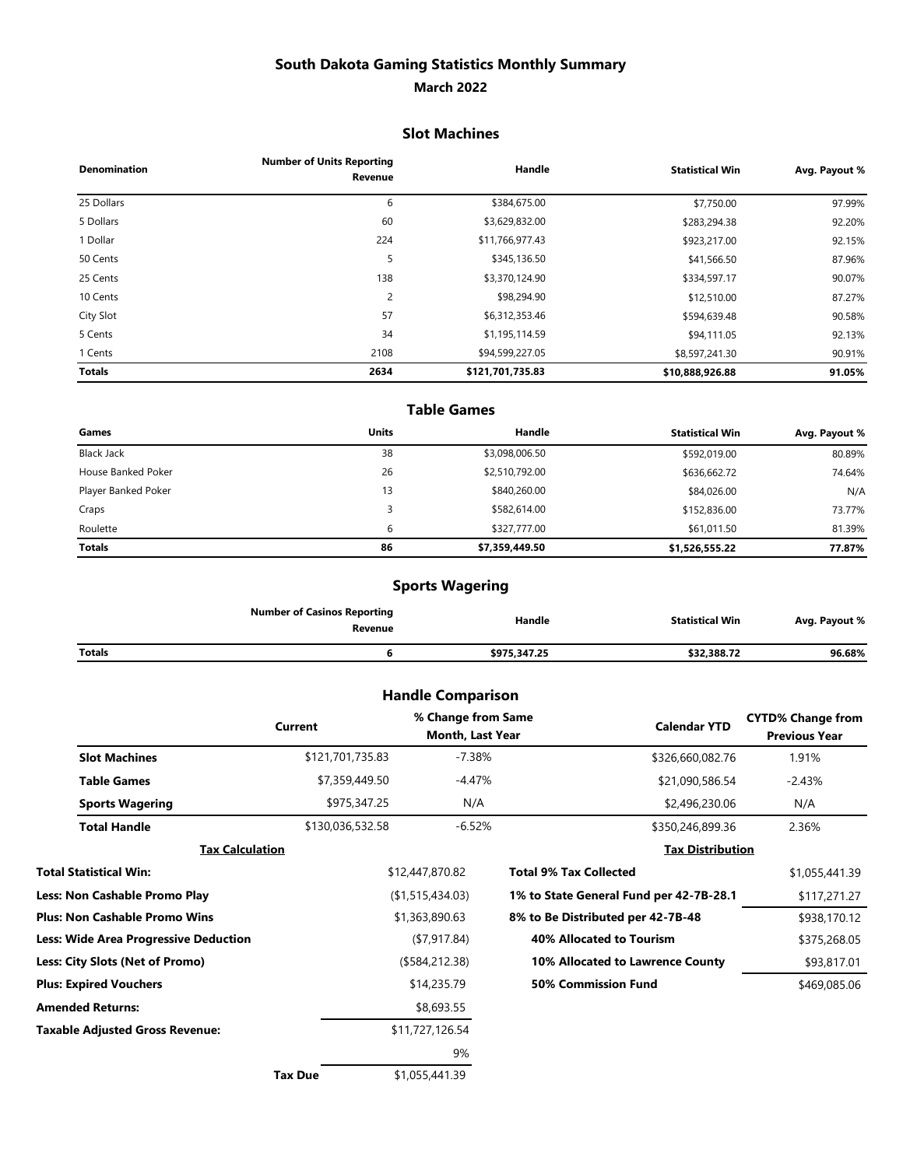# **South Dakota Gaming Statistics Monthly Summary**

#### **March 2022**

#### **Slot Machines**

| <b>Denomination</b> | <b>Number of Units Reporting</b><br>Revenue | Handle           | <b>Statistical Win</b> | Avg. Payout % |
|---------------------|---------------------------------------------|------------------|------------------------|---------------|
| 25 Dollars          | 6                                           | \$384,675.00     | \$7,750.00             | 97.99%        |
| 5 Dollars           | 60                                          | \$3,629,832.00   | \$283,294.38           | 92.20%        |
| 1 Dollar            | 224                                         | \$11,766,977.43  | \$923,217.00           | 92.15%        |
| 50 Cents            | 5                                           | \$345,136.50     | \$41,566.50            | 87.96%        |
| 25 Cents            | 138                                         | \$3,370,124.90   | \$334,597.17           | 90.07%        |
| 10 Cents            | $\overline{2}$                              | \$98,294.90      | \$12,510.00            | 87.27%        |
| City Slot           | 57                                          | \$6,312,353.46   | \$594,639.48           | 90.58%        |
| 5 Cents             | 34                                          | \$1,195,114.59   | \$94,111.05            | 92.13%        |
| 1 Cents             | 2108                                        | \$94,599,227.05  | \$8,597,241.30         | 90.91%        |
| <b>Totals</b>       | 2634                                        | \$121,701,735.83 | \$10,888,926.88        | 91.05%        |

### **Table Games**

| Games               | <b>Units</b> | Handle         | <b>Statistical Win</b> | Avg. Payout % |
|---------------------|--------------|----------------|------------------------|---------------|
| Black Jack          | 38           | \$3,098,006.50 | \$592,019.00           | 80.89%        |
| House Banked Poker  | 26           | \$2,510,792.00 | \$636,662.72           | 74.64%        |
| Player Banked Poker | 13           | \$840,260.00   | \$84,026.00            | N/A           |
| Craps               |              | \$582,614.00   | \$152,836.00           | 73.77%        |
| Roulette            | b            | \$327,777.00   | \$61,011.50            | 81.39%        |
| <b>Totals</b>       | 86           | \$7,359,449.50 | \$1,526,555.22         | 77.87%        |

# **Sports Wagering**

|               | <b>Number of Casinos Reporting</b><br>Revenue | Handle       | <b>Statistical Win</b> | Avg. Payout % |
|---------------|-----------------------------------------------|--------------|------------------------|---------------|
| <b>Totals</b> |                                               | \$975,347.25 | \$32,388.72            | 96.68%        |

|                                       |                  |                 | <b>Handle Comparison</b>               |                                         |                                                  |
|---------------------------------------|------------------|-----------------|----------------------------------------|-----------------------------------------|--------------------------------------------------|
|                                       | <b>Current</b>   |                 | % Change from Same<br>Month, Last Year | <b>Calendar YTD</b>                     | <b>CYTD% Change from</b><br><b>Previous Year</b> |
| <b>Slot Machines</b>                  | \$121,701,735.83 |                 | $-7.38%$                               | \$326,660,082.76                        | 1.91%                                            |
| <b>Table Games</b>                    | \$7,359,449.50   |                 | $-4.47%$                               | \$21,090,586.54                         | $-2.43%$                                         |
| <b>Sports Wagering</b>                |                  | \$975,347.25    | N/A                                    | \$2,496,230.06                          | N/A                                              |
| <b>Total Handle</b>                   | \$130,036,532.58 |                 | $-6.52%$                               | \$350,246,899.36                        | 2.36%                                            |
| <b>Tax Calculation</b>                |                  |                 |                                        | <b>Tax Distribution</b>                 |                                                  |
| Total Statistical Win:                |                  | \$12,447,870.82 |                                        | <b>Total 9% Tax Collected</b>           | \$1,055,441.39                                   |
| <b>Less: Non Cashable Promo Play</b>  |                  |                 | (\$1,515,434.03)                       | 1% to State General Fund per 42-7B-28.1 | \$117,271.27                                     |
| <b>Plus: Non Cashable Promo Wins</b>  |                  |                 | \$1,363,890.63                         | 8% to Be Distributed per 42-7B-48       | \$938,170.12                                     |
| Less: Wide Area Progressive Deduction |                  |                 | (\$7,917.84)                           | <b>40% Allocated to Tourism</b>         | \$375,268.05                                     |
| Less: City Slots (Net of Promo)       |                  | (\$584, 212.38) |                                        | 10% Allocated to Lawrence County        | \$93,817.01                                      |
| <b>Plus: Expired Vouchers</b>         |                  |                 | \$14,235.79                            | <b>50% Commission Fund</b>              | \$469,085.06                                     |
| <b>Amended Returns:</b>               |                  |                 | \$8,693.55                             |                                         |                                                  |
| Taxable Adjusted Gross Revenue:       |                  |                 | \$11,727,126.54                        |                                         |                                                  |
|                                       |                  |                 | 9%                                     |                                         |                                                  |
|                                       | <b>Tax Due</b>   |                 | \$1,055,441.39                         |                                         |                                                  |